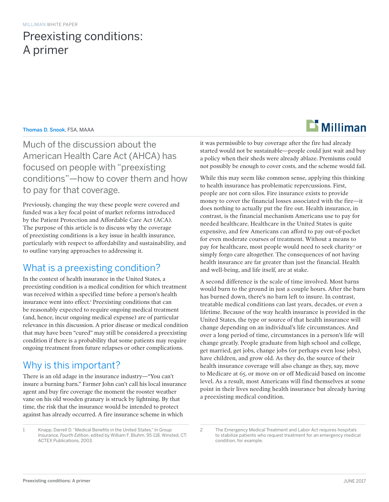# Preexisting conditions: A primer

### Thomas D. Snook, FSA, MAAA

Much of the discussion about the American Health Care Act (AHCA) has focused on people with "preexisting conditions"—how to cover them and how to pay for that coverage.

Previously, changing the way these people were covered and funded was a key focal point of market reforms introduced by the Patient Protection and Affordable Care Act (ACA). The purpose of this article is to discuss why the coverage of preexisting conditions is a key issue in health insurance, particularly with respect to affordability and sustainability, and to outline varying approaches to addressing it.

# What is a preexisting condition?

In the context of health insurance in the United States, a preexisting condition is a medical condition for which treatment was received within a specified time before a person's health insurance went into effect.<sup>1</sup> Preexisting conditions that can be reasonably expected to require ongoing medical treatment (and, hence, incur ongoing medical expense) are of particular relevance in this discussion. A prior disease or medical condition that may have been "cured" may still be considered a preexisting condition if there is a probability that some patients may require ongoing treatment from future relapses or other complications.

# Why is this important?

There is an old adage in the insurance industry—"You can't insure a burning barn." Farmer John can't call his local insurance agent and buy fire coverage the moment the rooster weather vane on his old wooden granary is struck by lightning. By that time, the risk that the insurance would be intended to protect against has already occurred. A fire insurance scheme in which





it was permissible to buy coverage after the fire had already started would not be sustainable—people could just wait and buy a policy when their sheds were already ablaze. Premiums could not possibly be enough to cover costs, and the scheme would fail.

While this may seem like common sense, applying this thinking to health insurance has problematic repercussions. First, people are not corn silos. Fire insurance exists to provide money to cover the financial losses associated with the fire—it does nothing to actually put the fire out. Health insurance, in contrast, is the financial mechanism Americans use to pay for needed healthcare. Healthcare in the United States is quite expensive, and few Americans can afford to pay out-of-pocket for even moderate courses of treatment. Without a means to pay for healthcare, most people would need to seek charity<sup>2</sup> or simply forgo care altogether. The consequences of not having health insurance are far greater than just the financial. Health and well-being, and life itself, are at stake.

A second difference is the scale of time involved. Most barns would burn to the ground in just a couple hours. After the barn has burned down, there's no barn left to insure. In contrast, treatable medical conditions can last years, decades, or even a lifetime. Because of the way health insurance is provided in the United States, the type or source of that health insurance will change depending on an individual's life circumstances. And over a long period of time, circumstances in a person's life will change greatly. People graduate from high school and college, get married, get jobs, change jobs (or perhaps even lose jobs), have children, and grow old. As they do, the source of their health insurance coverage will also change as they, say, move to Medicare at 65, or move on or off Medicaid based on income level. As a result, most Americans will find themselves at some point in their lives needing health insurance but already having a preexisting medical condition.

<sup>2</sup> The Emergency Medical Treatment and Labor Act requires hospitals to stabilize patients who request treatment for an emergency medical condition, for example.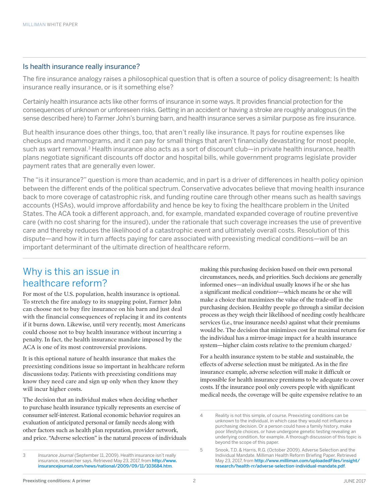### Is health insurance really insurance?

The fire insurance analogy raises a philosophical question that is often a source of policy disagreement: Is health insurance really insurance, or is it something else?

Certainly health insurance acts like other forms of insurance in some ways. It provides financial protection for the consequences of unknown or unforeseen risks. Getting in an accident or having a stroke are roughly analogous (in the sense described here) to Farmer John's burning barn, and health insurance serves a similar purpose as fire insurance.

But health insurance does other things, too, that aren't really like insurance. It pays for routine expenses like checkups and mammograms, and it can pay for small things that aren't financially devastating for most people, such as wart removal.<sup>3</sup> Health insurance also acts as a sort of discount club—in private health insurance, health plans negotiate significant discounts off doctor and hospital bills, while government programs legislate provider payment rates that are generally even lower.

The "is it insurance?" question is more than academic, and in part is a driver of differences in health policy opinion between the different ends of the political spectrum. Conservative advocates believe that moving health insurance back to more coverage of catastrophic risk, and funding routine care through other means such as health savings accounts (HSAs), would improve affordability and hence be key to fixing the healthcare problem in the United States. The ACA took a different approach, and, for example, mandated expanded coverage of routine preventive care (with no cost sharing for the insured), under the rationale that such coverage increases the use of preventive care and thereby reduces the likelihood of a catastrophic event and ultimately overall costs. Resolution of this dispute—and how it in turn affects paying for care associated with preexisting medical conditions—will be an important determinant of the ultimate direction of healthcare reform.

# Why is this an issue in healthcare reform?

For most of the U.S. population, health insurance is optional. To stretch the fire analogy to its snapping point, Farmer John can choose not to buy fire insurance on his barn and just deal with the financial consequences of replacing it and its contents if it burns down. Likewise, until very recently, most Americans could choose not to buy health insurance without incurring a penalty. In fact, the health insurance mandate imposed by the ACA is one of its most controversial provisions.

It is this optional nature of health insurance that makes the preexisting conditions issue so important in healthcare reform discussions today. Patients with preexisting conditions may know they need care and sign up only when they know they will incur higher costs.

The decision that an individual makes when deciding whether to purchase health insurance typically represents an exercise of consumer self-interest. Rational economic behavior requires an evaluation of anticipated personal or family needs along with other factors such as health plan reputation, provider network, and price. "Adverse selection" is the natural process of individuals

3 *Insurance Journal* (September 11, 2009). Health insurance isn't really insurance, researcher says. Retrieved May 23, 2017, from [http://www.](http://www.insurancejournal.com/news/national/2009/09/11/103684.htm) [insurancejournal.com/news/national/2009/09/11/103684.htm](http://www.insurancejournal.com/news/national/2009/09/11/103684.htm).

making this purchasing decision based on their own personal circumstances, needs, and priorities. Such decisions are generally informed ones—an individual usually knows if he or she has a significant medical condition4 —which means he or she will make a choice that maximizes the value of the trade-off in the purchasing decision. Healthy people go through a similar decision process as they weigh their likelihood of needing costly healthcare services (i.e., true insurance needs) against what their premiums would be. The decision that minimizes cost for maximal return for the individual has a mirror-image impact for a health insurance system—higher claim costs relative to the premium charged.5

For a health insurance system to be stable and sustainable, the effects of adverse selection must be mitigated. As in the fire insurance example, adverse selection will make it difficult or impossible for health insurance premiums to be adequate to cover costs. If the insurance pool only covers people with significant medical needs, the coverage will be quite expensive relative to an

<sup>4</sup> Reality is not this simple, of course. Preexisting conditions can be unknown to the individual, in which case they would not influence a purchasing decision. Or a person could have a family history, make poor lifestyle choices, or have undergone genetic testing revealing an underlying condition, for example. A thorough discussion of this topic is beyond the scope of this paper.

<sup>5</sup> Snook, T.D. & Harris, R.G. (October 2009). Adverse Selection and the Individual Mandate. Milliman Health Reform Briefing Paper. Retrieved May 23, 2017, from [http://www.milliman.com/uploadedFiles/insight/](http://www.milliman.com/uploadedFiles/insight/research/health-rr/adverse-selection-individual-mandate.pdf) [research/health-rr/adverse-selection-individual-mandate.pdf](http://www.milliman.com/uploadedFiles/insight/research/health-rr/adverse-selection-individual-mandate.pdf).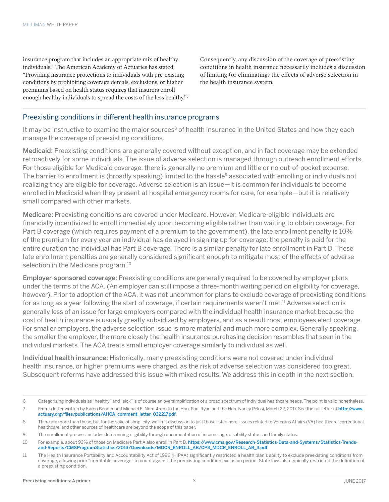insurance program that includes an appropriate mix of healthy individuals.<sup>6</sup> The American Academy of Actuaries has stated: "Providing insurance protections to individuals with pre-existing conditions by prohibiting coverage denials, exclusions, or higher premiums based on health status requires that insurers enroll enough healthy individuals to spread the costs of the less healthy."7 Consequently, any discussion of the coverage of preexisting conditions in health insurance necessarily includes a discussion of limiting (or eliminating) the effects of adverse selection in the health insurance system.

### Preexisting conditions in different health insurance programs

It may be instructive to examine the major sources<sup>8</sup> of health insurance in the United States and how they each manage the coverage of preexisting conditions.

Medicaid: Preexisting conditions are generally covered without exception, and in fact coverage may be extended retroactively for some individuals. The issue of adverse selection is managed through outreach enrollment efforts. For those eligible for Medicaid coverage, there is generally no premium and little or no out-of-pocket expense. The barrier to enrollment is (broadly speaking) limited to the hassle<sup>9</sup> associated with enrolling or individuals not realizing they are eligible for coverage. Adverse selection is an issue—it is common for individuals to become enrolled in Medicaid when they present at hospital emergency rooms for care, for example—but it is relatively small compared with other markets.

Medicare: Preexisting conditions are covered under Medicare. However, Medicare-eligible individuals are financially incentivized to enroll immediately upon becoming eligible rather than waiting to obtain coverage. For Part B coverage (which requires payment of a premium to the government), the late enrollment penalty is 10% of the premium for every year an individual has delayed in signing up for coverage; the penalty is paid for the entire duration the individual has Part B coverage. There is a similar penalty for late enrollment in Part D. These late enrollment penalties are generally considered significant enough to mitigate most of the effects of adverse selection in the Medicare program.<sup>10</sup>

Employer-sponsored coverage: Preexisting conditions are generally required to be covered by employer plans under the terms of the ACA. (An employer can still impose a three-month waiting period on eligibility for coverage, however). Prior to adoption of the ACA, it was not uncommon for plans to exclude coverage of preexisting conditions for as long as a year following the start of coverage, if certain requirements weren't met.<sup>11</sup> Adverse selection is generally less of an issue for large employers compared with the individual health insurance market because the cost of health insurance is usually greatly subsidized by employers, and as a result most employees elect coverage. For smaller employers, the adverse selection issue is more material and much more complex. Generally speaking, the smaller the employer, the more closely the health insurance purchasing decision resembles that seen in the individual markets. The ACA treats small employer coverage similarly to individual as well.

Individual health insurance: Historically, many preexisting conditions were not covered under individual health insurance, or higher premiums were charged, as the risk of adverse selection was considered too great. Subsequent reforms have addressed this issue with mixed results. We address this in depth in the next section.

<sup>6</sup> Categorizing individuals as "healthy" and "sick" is of course an oversimplification of a broad spectrum of individual healthcare needs. The point is valid nonetheless.

<sup>7</sup> From a letter written by Karen Bender and Michael E. Nordstrom to the Hon. Paul Ryan and the Hon. Nancy Pelosi, March 22, 2017. See the full letter at [http://www.](http://www.actuary.org/files/publications/AHCA_comment_letter_032217.pdf) [actuary.org/files/publications/AHCA\\_comment\\_letter\\_032217.pdf](http://www.actuary.org/files/publications/AHCA_comment_letter_032217.pdf).

<sup>8</sup> There are more than these, but for the sake of simplicity, we limit discussion to just those listed here. Issues related to Veterans Affairs (VA) healthcare, correctional healthcare, and other sources of healthcare are beyond the scope of this paper.

<sup>9</sup> The enrollment process includes determining eligibility through documentation of income, age, disability status, and family status.

<sup>10</sup> For example, about 93% of those on Medicare Part A also enroll in Part B. [https://www.cms.gov/Research-Statistics-Data-and-Systems/Statistics-Trends](https://www.cms.gov/Research-Statistics-Data-and-Systems/Statistics-Trends-and-Reports/CMSProgramStatistics/2013/Downloads/MDCR_ENROLL_AB/CPS_MDCR_ENROLL_AB_3.pdf)[and-Reports/CMSProgramStatistics/2013/Downloads/MDCR\\_ENROLL\\_AB/CPS\\_MDCR\\_ENROLL\\_AB\\_3.pdf](https://www.cms.gov/Research-Statistics-Data-and-Systems/Statistics-Trends-and-Reports/CMSProgramStatistics/2013/Downloads/MDCR_ENROLL_AB/CPS_MDCR_ENROLL_AB_3.pdf).

<sup>11</sup> The Health Insurance Portability and Accountability Act of 1996 (HIPAA) significantly restricted a health plan's ability to exclude preexisting conditions from coverage, allowing prior "creditable coverage" to count against the preexisting condition exclusion period. State laws also typically restricted the definition of a preexisting condition.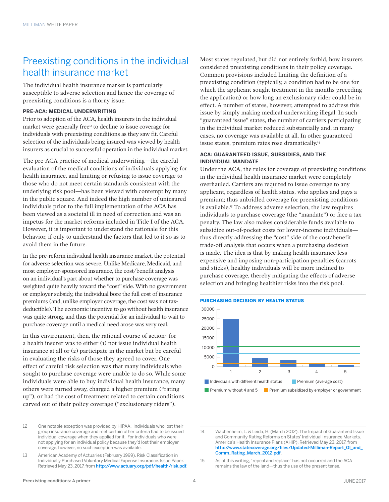# Preexisting conditions in the individual health insurance market

The individual health insurance market is particularly susceptible to adverse selection and hence the coverage of preexisting conditions is a thorny issue.

#### **PRE-ACA: MEDICAL UNDERWRITING**

Prior to adoption of the ACA, health insurers in the individual market were generally free<sup>12</sup> to decline to issue coverage for individuals with preexisting conditions as they saw fit. Careful selection of the individuals being insured was viewed by health insurers as crucial to successful operation in the individual market.

The pre-ACA practice of medical underwriting—the careful evaluation of the medical conditions of individuals applying for health insurance, and limiting or refusing to issue coverage to those who do not meet certain standards consistent with the underlying risk pool—has been viewed with contempt by many in the public square. And indeed the high number of uninsured individuals prior to the full implementation of the ACA has been viewed as a societal ill in need of correction and was an impetus for the market reforms included in Title I of the ACA. However, it is important to understand the rationale for this behavior, if only to understand the factors that led to it so as to avoid them in the future.

In the pre-reform individual health insurance market, the potential for adverse selection was severe. Unlike Medicare, Medicaid, and most employer-sponsored insurance, the cost/benefit analysis on an individual's part about whether to purchase coverage was weighted quite heavily toward the "cost" side. With no government or employer subsidy, the individual bore the full cost of insurance premiums (and, unlike employer coverage, the cost was not taxdeductible). The economic incentive to go without health insurance was quite strong, and thus the potential for an individual to wait to purchase coverage until a medical need arose was very real.

In this environment, then, the rational course of action<sup>13</sup> for a health insurer was to either (1) not issue individual health insurance at all or (2) participate in the market but be careful in evaluating the risks of those they agreed to cover. One effect of careful risk selection was that many individuals who sought to purchase coverage were unable to do so. While some individuals were able to buy individual health insurance, many others were turned away, charged a higher premium ("rating up"), or had the cost of treatment related to certain conditions carved out of their policy coverage ("exclusionary riders").

Most states regulated, but did not entirely forbid, how insurers considered preexisting conditions in their policy coverage. Common provisions included limiting the definition of a preexisting condition (typically, a condition had to be one for which the applicant sought treatment in the months preceding the application) or how long an exclusionary rider could be in effect. A number of states, however, attempted to address this issue by simply making medical underwriting illegal. In such "guaranteed issue" states, the number of carriers participating in the individual market reduced substantially and, in many cases, no coverage was available at all. In other guaranteed issue states, premium rates rose dramatically.14

#### **ACA: GUARANTEED ISSUE, SUBSIDIES, AND THE INDIVIDUAL MANDATE**

Under the ACA, the rules for coverage of preexisting conditions in the individual health insurance market were completely overhauled. Carriers are required to issue coverage to any applicant, regardless of health status, who applies and pays a premium; thus unbridled coverage for preexisting conditions is available.15 To address adverse selection, the law requires individuals to purchase coverage (the "mandate") or face a tax penalty. The law also makes considerable funds available to subsidize out-of-pocket costs for lower-income individuals thus directly addressing the "cost" side of the cost/benefit trade-off analysis that occurs when a purchasing decision is made. The idea is that by making health insurance less expensive and imposing non-participation penalties (carrots and sticks), healthy individuals will be more inclined to purchase coverage, thereby mitigating the effects of adverse selection and bringing healthier risks into the risk pool.





<sup>12</sup> One notable exception was provided by HIPAA. Individuals who lost their group insurance coverage and met certain other criteria had to be issued individual coverage when they applied for it. For individuals who were not applying for an individual policy because they'd lost their employer coverage, however, no such exception was available.

<sup>13</sup> American Academy of Actuaries (February 1999). Risk Classification in Individually Purchased Voluntary Medical Expense Insurance. Issue Paper. Retrieved May 23, 2017, from <http://www.actuary.org/pdf/health/risk.pdf>.

<sup>14</sup> Wachenheim, L. & Leida, H. (March 2012). The Impact of Guaranteed Issue and Community Rating Reforms on States' Individual Insurance Markets. America's Health Insurance Plans (AHIP). Retrieved May 23, 2017, from [http://www.statecoverage.org/files/Updated-Milliman-Report\\_GI\\_and\\_](http://www.statecoverage.org/files/Updated-Milliman-Report_GI_and_Comm_Rating_March_2012.pdf) [Comm\\_Rating\\_March\\_2012.pdf](http://www.statecoverage.org/files/Updated-Milliman-Report_GI_and_Comm_Rating_March_2012.pdf).

<sup>15</sup> As of this writing, "repeal and replace" has not occurred and the ACA remains the law of the land—thus the use of the present tense.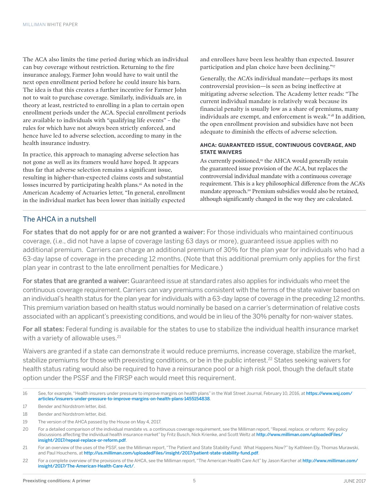The ACA also limits the time period during which an individual can buy coverage without restriction. Returning to the fire insurance analogy, Farmer John would have to wait until the next open enrollment period before he could insure his barn. The idea is that this creates a further incentive for Farmer John not to wait to purchase coverage. Similarly, individuals are, in theory at least, restricted to enrolling in a plan to certain open enrollment periods under the ACA. Special enrollment periods are available to individuals with "qualifying life events" – the rules for which have not always been strictly enforced, and hence have led to adverse selection, according to many in the health insurance industry.

In practice, this approach to managing adverse selection has not gone as well as its framers would have hoped. It appears thus far that adverse selection remains a significant issue, resulting in higher-than-expected claims costs and substantial losses incurred by participating health plans.<sup>16</sup> As noted in the American Academy of Actuaries letter, "In general, enrollment in the individual market has been lower than initially expected and enrollees have been less healthy than expected. Insurer participation and plan choice have been declining."17

Generally, the ACA's individual mandate—perhaps its most controversial provision—is seen as being ineffective at mitigating adverse selection. The Academy letter reads: "The current individual mandate is relatively weak because its financial penalty is usually low as a share of premiums, many individuals are exempt, and enforcement is weak." 18 In addition, the open enrollment provision and subsidies have not been adequate to diminish the effects of adverse selection.

#### **AHCA: GUARANTEED ISSUE, CONTINUOUS COVERAGE, AND STATE WAIVERS**

As currently positioned,<sup>19</sup> the AHCA would generally retain the guaranteed issue provision of the ACA, but replaces the controversial individual mandate with a continuous coverage requirement. This is a key philosophical difference from the ACA's mandate approach.<sup>20</sup> Premium subsidies would also be retained, although significantly changed in the way they are calculated.

### The AHCA in a nutshell

For states that do not apply for or are not granted a waiver: For those individuals who maintained continuous coverage, (i.e., did not have a lapse of coverage lasting 63 days or more), guaranteed issue applies with no additional premium. Carriers can charge an additional premium of 30% for the plan year for individuals who had a 63-day lapse of coverage in the preceding 12 months. (Note that this additional premium only applies for the first plan year in contrast to the late enrollment penalties for Medicare.)

For states that are granted a waiver: Guaranteed issue at standard rates also applies for individuals who meet the continuous coverage requirement. Carriers can vary premiums consistent with the terms of the state waiver based on an individual's health status for the plan year for individuals with a 63-day lapse of coverage in the preceding 12 months. This premium variation based on health status would nominally be based on a carrier's determination of relative costs associated with an applicant's preexisting conditions, and would be in lieu of the 30% penalty for non-waiver states.

For all states: Federal funding is available for the states to use to stabilize the individual health insurance market with a variety of allowable uses.<sup>21</sup>

Waivers are granted if a state can demonstrate it would reduce premiums, increase coverage, stabilize the market, stabilize premiums for those with preexisting conditions, or be in the public interest.<sup>22</sup> States seeking waivers for health status rating would also be required to have a reinsurance pool or a high risk pool, though the default state option under the PSSF and the FIRSP each would meet this requirement.

<sup>16</sup> See, for example, "Health insurers under pressure to improve margins on health plans" in the Wall Street Journal, February 10, 2016, at [https://www.wsj.com/](https://www.wsj.com/articles/insurers-under-pressure-to-improve-margins-on-health-plans-1455154838) [articles/insurers-under-pressure-to-improve-margins-on-health-plans-1455154838](https://www.wsj.com/articles/insurers-under-pressure-to-improve-margins-on-health-plans-1455154838).

<sup>17</sup> Bender and Nordstrom letter, ibid.

<sup>18</sup> Bender and Nordstrom letter, ibid.

<sup>19</sup> The version of the AHCA passed by the House on May 4, 2017.

<sup>20</sup> For a detailed comparison of the individual mandate vs. a continuous coverage requirement, see the Milliman report, "Repeal, replace, or reform: Key policy discussions affecting the individual health insurance market" by Fritz Busch, Nick Krienke, and Scott Weltz at [http://www.milliman.com/uploadedFiles/](http://www.milliman.com/uploadedFiles/insight/2017/repeal-replace-or-reform.pdf) [insight/2017/repeal-replace-or-reform.pdf](http://www.milliman.com/uploadedFiles/insight/2017/repeal-replace-or-reform.pdf).

<sup>21</sup> For an overview of the uses of the PSSF, see the Milliman report, "The Patient and State Stability Fund: What Happens Now?" by Kathleen Ely, Thomas Murawski, and Paul Houchens, at <http://us.milliman.com/uploadedFiles/insight/2017/patient-state-stability-fund.pdf>.

<sup>22</sup> For a complete overview of the provisions of the AHCA, see the Milliman report, "The American Health Care Act" by Jason Karcher at [http://www.milliman.com/](http://www.milliman.com/insight/2017/The-American-Health-Care-Act/) [insight/2017/The-American-Health-Care-Act/](http://www.milliman.com/insight/2017/The-American-Health-Care-Act/).